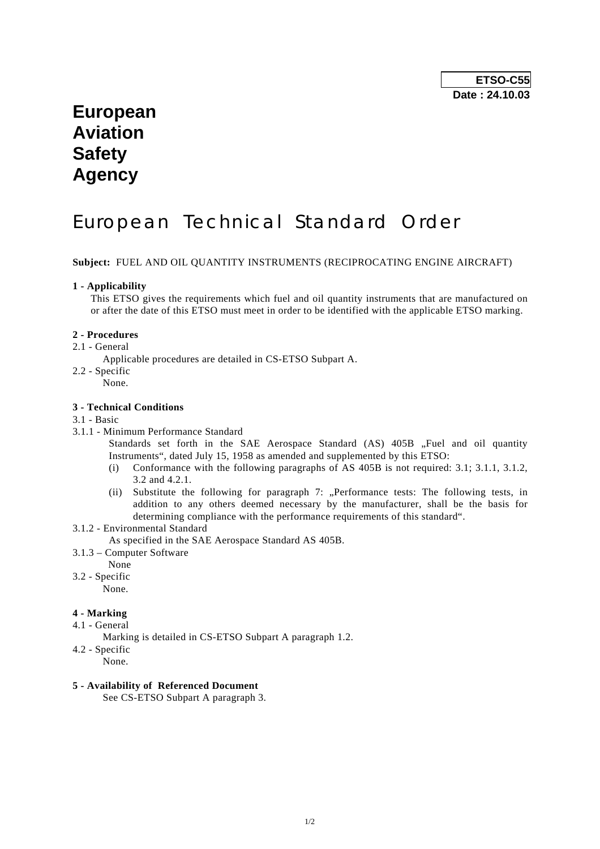## **European Aviation Safety Agency**

# European Technical Standard Order

**Subject:** FUEL AND OIL QUANTITY INSTRUMENTS (RECIPROCATING ENGINE AIRCRAFT)

#### **1 - Applicability**

 This ETSO gives the requirements which fuel and oil quantity instruments that are manufactured on or after the date of this ETSO must meet in order to be identified with the applicable ETSO marking.

#### **2 - Procedures**

2.1 - General

Applicable procedures are detailed in CS-ETSO Subpart A.

- 2.2 Specific
	- None.

#### **3 - Technical Conditions**

#### 3.1 - Basic

3.1.1 - Minimum Performance Standard

Standards set forth in the SAE Aerospace Standard (AS) 405B "Fuel and oil quantity Instruments", dated July 15, 1958 as amended and supplemented by this ETSO:

- (i) Conformance with the following paragraphs of AS 405B is not required: 3.1; 3.1.1, 3.1.2, 3.2 and 4.2.1.
- (ii) Substitute the following for paragraph 7: "Performance tests: The following tests, in addition to any others deemed necessary by the manufacturer, shall be the basis for determining compliance with the performance requirements of this standard".
- 3.1.2 Environmental Standard

As specified in the SAE Aerospace Standard AS 405B.

- 3.1.3 Computer Software
- None
- 3.2 Specific

None.

## **4 - Marking**

- 4.1 General
	- Marking is detailed in CS-ETSO Subpart A paragraph 1.2.
- 4.2 Specific
	- None.

## **5 - Availability of Referenced Document**

See CS-ETSO Subpart A paragraph 3.